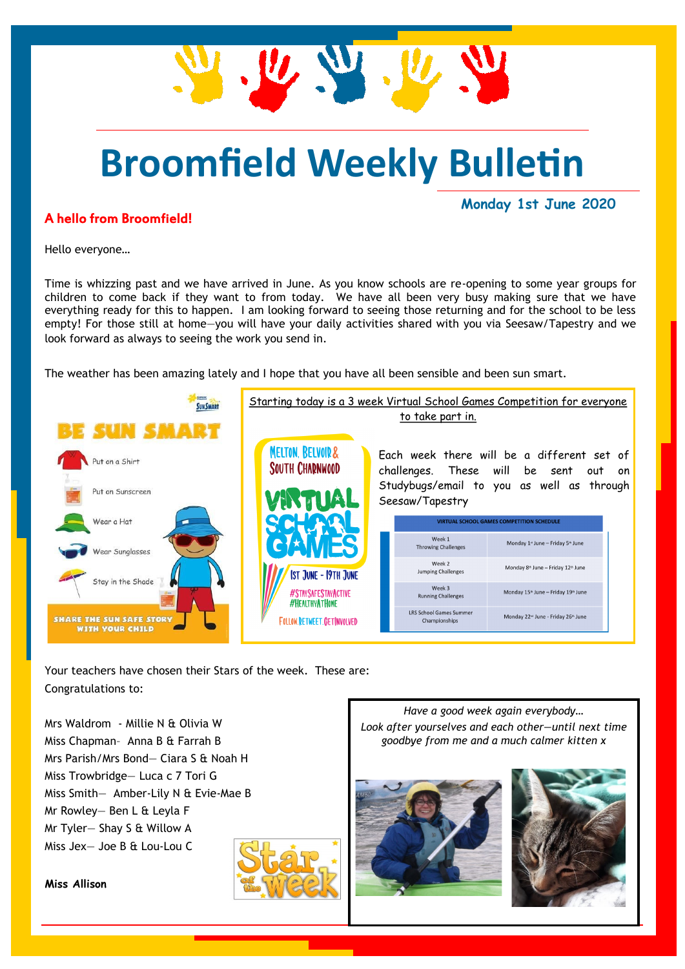# **Broomfield Weekly Bulletin**

U.W.W.

#### A hello from Broomfield!

**Monday 1st June 2020**

Hello everyone…

Time is whizzing past and we have arrived in June. As you know schools are re-opening to some year groups for children to come back if they want to from today. We have all been very busy making sure that we have everything ready for this to happen. I am looking forward to seeing those returning and for the school to be less empty! For those still at home—you will have your daily activities shared with you via Seesaw/Tapestry and we look forward as always to seeing the work you send in.

The weather has been amazing lately and I hope that you have all been sensible and been sun smart.



Your teachers have chosen their Stars of the week. These are: Congratulations to:

Mrs Waldrom - Millie N & Olivia W Miss Chapman– Anna B & Farrah B Mrs Parish/Mrs Bond— Ciara S & Noah H Miss Trowbridge— Luca c 7 Tori G Miss Smith— Amber-Lily N & Evie-Mae B Mr Rowley— Ben L & Leyla F Mr Tyler— Shay S & Willow A Miss Jex— Joe B & Lou-Lou C

**Miss Allison**